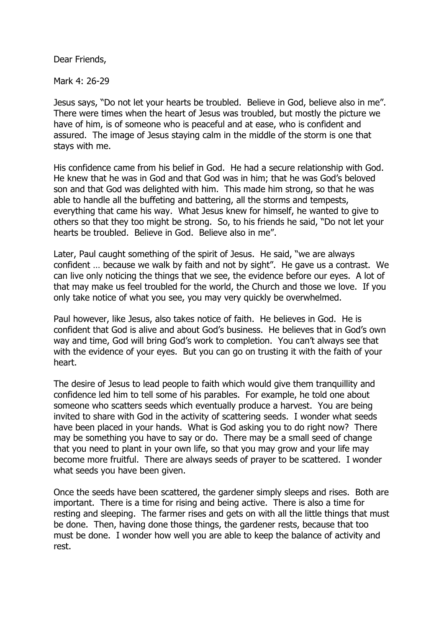Dear Friends,

Mark 4: 26-29

Jesus says, "Do not let your hearts be troubled. Believe in God, believe also in me". There were times when the heart of Jesus was troubled, but mostly the picture we have of him, is of someone who is peaceful and at ease, who is confident and assured. The image of Jesus staying calm in the middle of the storm is one that stays with me.

His confidence came from his belief in God. He had a secure relationship with God. He knew that he was in God and that God was in him; that he was God's beloved son and that God was delighted with him. This made him strong, so that he was able to handle all the buffeting and battering, all the storms and tempests, everything that came his way. What Jesus knew for himself, he wanted to give to others so that they too might be strong. So, to his friends he said, "Do not let your hearts be troubled. Believe in God. Believe also in me".

Later, Paul caught something of the spirit of Jesus. He said, "we are always confident … because we walk by faith and not by sight". He gave us a contrast. We can live only noticing the things that we see, the evidence before our eyes. A lot of that may make us feel troubled for the world, the Church and those we love. If you only take notice of what you see, you may very quickly be overwhelmed.

Paul however, like Jesus, also takes notice of faith. He believes in God. He is confident that God is alive and about God's business. He believes that in God's own way and time, God will bring God's work to completion. You can't always see that with the evidence of your eyes. But you can go on trusting it with the faith of your heart.

The desire of Jesus to lead people to faith which would give them tranquillity and confidence led him to tell some of his parables. For example, he told one about someone who scatters seeds which eventually produce a harvest. You are being invited to share with God in the activity of scattering seeds. I wonder what seeds have been placed in your hands. What is God asking you to do right now? There may be something you have to say or do. There may be a small seed of change that you need to plant in your own life, so that you may grow and your life may become more fruitful. There are always seeds of prayer to be scattered. I wonder what seeds you have been given.

Once the seeds have been scattered, the gardener simply sleeps and rises. Both are important. There is a time for rising and being active. There is also a time for resting and sleeping. The farmer rises and gets on with all the little things that must be done. Then, having done those things, the gardener rests, because that too must be done. I wonder how well you are able to keep the balance of activity and rest.